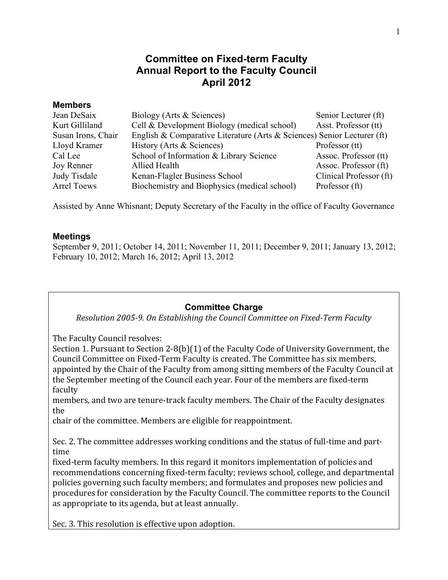# **Committee on Fixed-term Faculty Annual Report to the Faculty Council April 2012**

#### **Members**

| Jean DeSaix        | Biology (Arts & Sciences)                                               | Senior Lecturer (ft)    |
|--------------------|-------------------------------------------------------------------------|-------------------------|
| Kurt Gilliland     | Cell & Development Biology (medical school)                             | Asst. Professor (tt)    |
| Susan Irons, Chair | English & Comparative Literature (Arts & Sciences) Senior Lecturer (ft) |                         |
| Lloyd Kramer       | History (Arts & Sciences)                                               | Professor (tt)          |
| Cal Lee            | School of Information & Library Science                                 | Assoc. Professor (tt)   |
| Joy Renner         | Allied Health                                                           | Assoc. Professor (ft)   |
| Judy Tisdale       | Kenan-Flagler Business School                                           | Clinical Professor (ft) |
| <b>Arrel Toews</b> | Biochemistry and Biophysics (medical school)                            | Professor (ft)          |

Assisted by Anne Whisnant; Deputy Secretary of the Faculty in the office of Faculty Governance

#### **Meetings**

September 9, 2011; October 14, 2011; November 11, 2011; December 9, 2011; January 13, 2012; February 10, 2012; March 16, 2012; April 13, 2012

### **Committee Charge**

*Resolution\*2005.9.\*On\*Establishing\*the\*Council\*Committee\*on\*Fixed.Term\*Faculty*

The Faculty Council resolves:

Section 1. Pursuant to Section 2-8(b)(1) of the Faculty Code of University Government, the Council Committee on Fixed-Term Faculty is created. The Committee has six members, appointed by the Chair of the Faculty from among sitting members of the Faculty Council at the September meeting of the Council each year. Four of the members are fixed-term faculty

members, and two are tenure-track faculty members. The Chair of the Faculty designates the

chair of the committee. Members are eligible for reappointment.

Sec. 2. The committee addresses working conditions and the status of full-time and parttime

fixed-term faculty members. In this regard it monitors implementation of policies and recommendations concerning fixed-term faculty; reviews school, college, and departmental policies governing such faculty members; and formulates and proposes new policies and procedures for consideration by the Faculty Council. The committee reports to the Council as appropriate to its agenda, but at least annually.

Sec. 3. This resolution is effective upon adoption.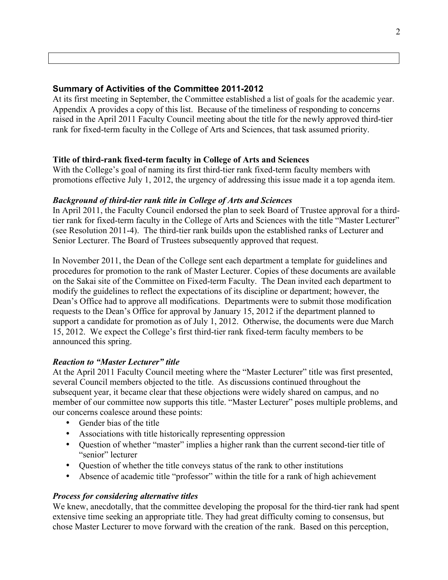## **Summary of Activities of the Committee 2011-2012**

At its first meeting in September, the Committee established a list of goals for the academic year. Appendix A provides a copy of this list. Because of the timeliness of responding to concerns raised in the April 2011 Faculty Council meeting about the title for the newly approved third-tier rank for fixed-term faculty in the College of Arts and Sciences, that task assumed priority.

### **Title of third-rank fixed-term faculty in College of Arts and Sciences**

With the College's goal of naming its first third-tier rank fixed-term faculty members with promotions effective July 1, 2012, the urgency of addressing this issue made it a top agenda item.

#### *Background of third-tier rank title in College of Arts and Sciences*

In April 2011, the Faculty Council endorsed the plan to seek Board of Trustee approval for a thirdtier rank for fixed-term faculty in the College of Arts and Sciences with the title "Master Lecturer" (see Resolution 2011-4). The third-tier rank builds upon the established ranks of Lecturer and Senior Lecturer. The Board of Trustees subsequently approved that request.

In November 2011, the Dean of the College sent each department a template for guidelines and procedures for promotion to the rank of Master Lecturer. Copies of these documents are available on the Sakai site of the Committee on Fixed-term Faculty. The Dean invited each department to modify the guidelines to reflect the expectations of its discipline or department; however, the Dean's Office had to approve all modifications. Departments were to submit those modification requests to the Dean's Office for approval by January 15, 2012 if the department planned to support a candidate for promotion as of July 1, 2012. Otherwise, the documents were due March 15, 2012. We expect the College's first third-tier rank fixed-term faculty members to be announced this spring.

### *Reaction to "Master Lecturer" title*

At the April 2011 Faculty Council meeting where the "Master Lecturer" title was first presented, several Council members objected to the title. As discussions continued throughout the subsequent year, it became clear that these objections were widely shared on campus, and no member of our committee now supports this title. "Master Lecturer" poses multiple problems, and our concerns coalesce around these points:

- Gender bias of the title
- Associations with title historically representing oppression
- Question of whether "master" implies a higher rank than the current second-tier title of "senior" lecturer
- Question of whether the title conveys status of the rank to other institutions
- Absence of academic title "professor" within the title for a rank of high achievement

### *Process for considering alternative titles*

We knew, anecdotally, that the committee developing the proposal for the third-tier rank had spent extensive time seeking an appropriate title. They had great difficulty coming to consensus, but chose Master Lecturer to move forward with the creation of the rank. Based on this perception,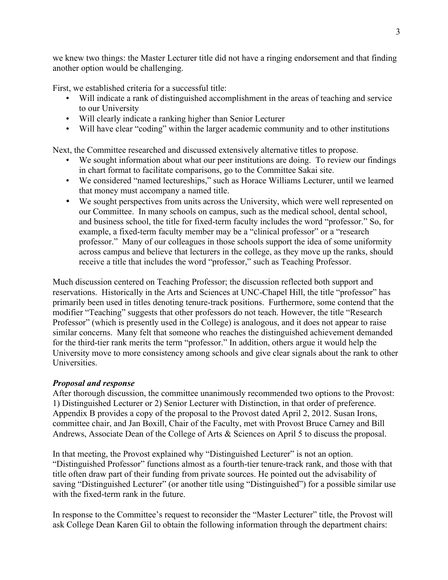we knew two things: the Master Lecturer title did not have a ringing endorsement and that finding another option would be challenging.

First, we established criteria for a successful title:

- Will indicate a rank of distinguished accomplishment in the areas of teaching and service to our University
- Will clearly indicate a ranking higher than Senior Lecturer
- Will have clear "coding" within the larger academic community and to other institutions

Next, the Committee researched and discussed extensively alternative titles to propose.

- We sought information about what our peer institutions are doing. To review our findings in chart format to facilitate comparisons, go to the Committee Sakai site.
- We considered "named lectureships," such as Horace Williams Lecturer, until we learned that money must accompany a named title.
- We sought perspectives from units across the University, which were well represented on our Committee. In many schools on campus, such as the medical school, dental school, and business school, the title for fixed-term faculty includes the word "professor." So, for example, a fixed-term faculty member may be a "clinical professor" or a "research professor." Many of our colleagues in those schools support the idea of some uniformity across campus and believe that lecturers in the college, as they move up the ranks, should receive a title that includes the word "professor," such as Teaching Professor.

Much discussion centered on Teaching Professor; the discussion reflected both support and reservations. Historically in the Arts and Sciences at UNC-Chapel Hill, the title "professor" has primarily been used in titles denoting tenure-track positions. Furthermore, some contend that the modifier "Teaching" suggests that other professors do not teach. However, the title "Research Professor" (which is presently used in the College) is analogous, and it does not appear to raise similar concerns. Many felt that someone who reaches the distinguished achievement demanded for the third-tier rank merits the term "professor." In addition, others argue it would help the University move to more consistency among schools and give clear signals about the rank to other Universities.

### *Proposal and response*

After thorough discussion, the committee unanimously recommended two options to the Provost: 1) Distinguished Lecturer or 2) Senior Lecturer with Distinction, in that order of preference. Appendix B provides a copy of the proposal to the Provost dated April 2, 2012. Susan Irons, committee chair, and Jan Boxill, Chair of the Faculty, met with Provost Bruce Carney and Bill Andrews, Associate Dean of the College of Arts & Sciences on April 5 to discuss the proposal.

In that meeting, the Provost explained why "Distinguished Lecturer" is not an option. "Distinguished Professor" functions almost as a fourth-tier tenure-track rank, and those with that title often draw part of their funding from private sources. He pointed out the advisability of saving "Distinguished Lecturer" (or another title using "Distinguished") for a possible similar use with the fixed-term rank in the future.

In response to the Committee's request to reconsider the "Master Lecturer" title, the Provost will ask College Dean Karen Gil to obtain the following information through the department chairs: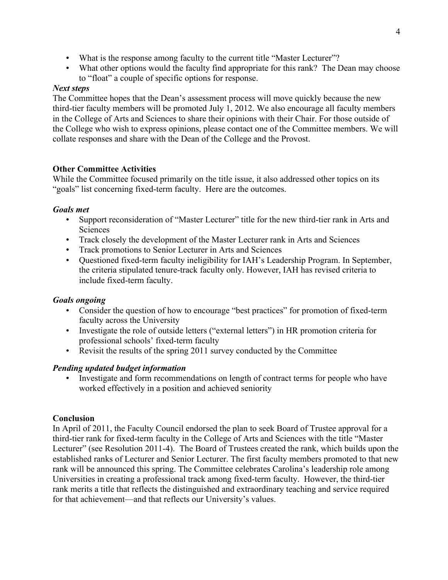- What is the response among faculty to the current title "Master Lecturer"?
- What other options would the faculty find appropriate for this rank? The Dean may choose to "float" a couple of specific options for response.

## *Next steps*

The Committee hopes that the Dean's assessment process will move quickly because the new third-tier faculty members will be promoted July 1, 2012. We also encourage all faculty members in the College of Arts and Sciences to share their opinions with their Chair. For those outside of the College who wish to express opinions, please contact one of the Committee members. We will collate responses and share with the Dean of the College and the Provost.

### **Other Committee Activities**

While the Committee focused primarily on the title issue, it also addressed other topics on its "goals" list concerning fixed-term faculty. Here are the outcomes.

## *Goals met*

- Support reconsideration of "Master Lecturer" title for the new third-tier rank in Arts and **Sciences**
- Track closely the development of the Master Lecturer rank in Arts and Sciences
- Track promotions to Senior Lecturer in Arts and Sciences
- Questioned fixed-term faculty ineligibility for IAH's Leadership Program. In September, the criteria stipulated tenure-track faculty only. However, IAH has revised criteria to include fixed-term faculty.

## *Goals ongoing*

- Consider the question of how to encourage "best practices" for promotion of fixed-term faculty across the University
- Investigate the role of outside letters ("external letters") in HR promotion criteria for professional schools' fixed-term faculty
- Revisit the results of the spring 2011 survey conducted by the Committee

### *Pending updated budget information*

• Investigate and form recommendations on length of contract terms for people who have worked effectively in a position and achieved seniority

### **Conclusion**

In April of 2011, the Faculty Council endorsed the plan to seek Board of Trustee approval for a third-tier rank for fixed-term faculty in the College of Arts and Sciences with the title "Master Lecturer" (see Resolution 2011-4). The Board of Trustees created the rank, which builds upon the established ranks of Lecturer and Senior Lecturer. The first faculty members promoted to that new rank will be announced this spring. The Committee celebrates Carolina's leadership role among Universities in creating a professional track among fixed-term faculty. However, the third-tier rank merits a title that reflects the distinguished and extraordinary teaching and service required for that achievement—and that reflects our University's values.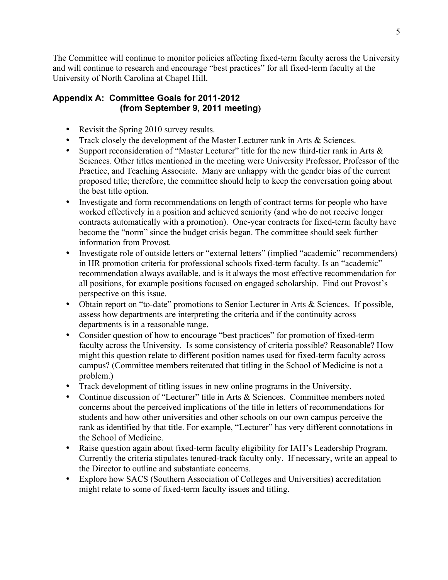The Committee will continue to monitor policies affecting fixed-term faculty across the University and will continue to research and encourage "best practices" for all fixed-term faculty at the University of North Carolina at Chapel Hill.

# **Appendix A: Committee Goals for 2011-2012 (from September 9, 2011 meeting)**

- Revisit the Spring 2010 survey results.
- Track closely the development of the Master Lecturer rank in Arts & Sciences.
- Support reconsideration of "Master Lecturer" title for the new third-tier rank in Arts & Sciences. Other titles mentioned in the meeting were University Professor, Professor of the Practice, and Teaching Associate. Many are unhappy with the gender bias of the current proposed title; therefore, the committee should help to keep the conversation going about the best title option.
- Investigate and form recommendations on length of contract terms for people who have worked effectively in a position and achieved seniority (and who do not receive longer contracts automatically with a promotion). One-year contracts for fixed-term faculty have become the "norm" since the budget crisis began. The committee should seek further information from Provost.
- Investigate role of outside letters or "external letters" (implied "academic" recommenders) in HR promotion criteria for professional schools fixed-term faculty. Is an "academic" recommendation always available, and is it always the most effective recommendation for all positions, for example positions focused on engaged scholarship. Find out Provost's perspective on this issue.
- Obtain report on "to-date" promotions to Senior Lecturer in Arts & Sciences. If possible, assess how departments are interpreting the criteria and if the continuity across departments is in a reasonable range.
- Consider question of how to encourage "best practices" for promotion of fixed-term faculty across the University. Is some consistency of criteria possible? Reasonable? How might this question relate to different position names used for fixed-term faculty across campus? (Committee members reiterated that titling in the School of Medicine is not a problem.)
- Track development of titling issues in new online programs in the University.
- Continue discussion of "Lecturer" title in Arts & Sciences. Committee members noted concerns about the perceived implications of the title in letters of recommendations for students and how other universities and other schools on our own campus perceive the rank as identified by that title. For example, "Lecturer" has very different connotations in the School of Medicine.
- Raise question again about fixed-term faculty eligibility for IAH's Leadership Program. Currently the criteria stipulates tenured-track faculty only. If necessary, write an appeal to the Director to outline and substantiate concerns.
- Explore how SACS (Southern Association of Colleges and Universities) accreditation might relate to some of fixed-term faculty issues and titling.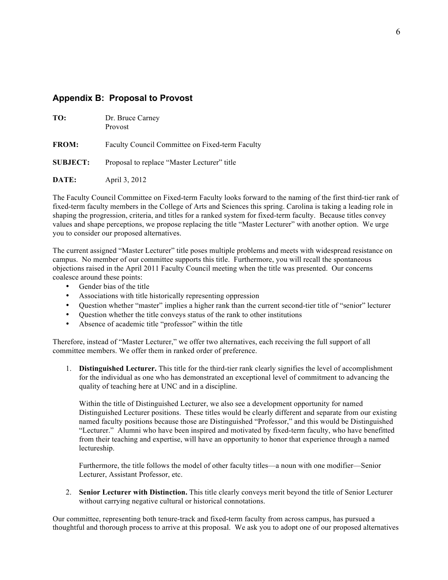#### **Appendix B: Proposal to Provost**

| TO:             | Dr. Bruce Carney<br>Provost                     |
|-----------------|-------------------------------------------------|
| <b>FROM:</b>    | Faculty Council Committee on Fixed-term Faculty |
| <b>SUBJECT:</b> | Proposal to replace "Master Lecturer" title     |
| DATE:           | April 3, 2012                                   |

The Faculty Council Committee on Fixed-term Faculty looks forward to the naming of the first third-tier rank of fixed-term faculty members in the College of Arts and Sciences this spring. Carolina is taking a leading role in shaping the progression, criteria, and titles for a ranked system for fixed-term faculty. Because titles convey values and shape perceptions, we propose replacing the title "Master Lecturer" with another option. We urge you to consider our proposed alternatives.

The current assigned "Master Lecturer" title poses multiple problems and meets with widespread resistance on campus. No member of our committee supports this title. Furthermore, you will recall the spontaneous objections raised in the April 2011 Faculty Council meeting when the title was presented. Our concerns coalesce around these points:

- Gender bias of the title
- Associations with title historically representing oppression
- Question whether "master" implies a higher rank than the current second-tier title of "senior" lecturer
- Question whether the title conveys status of the rank to other institutions
- Absence of academic title "professor" within the title

Therefore, instead of "Master Lecturer," we offer two alternatives, each receiving the full support of all committee members. We offer them in ranked order of preference.

1. **Distinguished Lecturer.** This title for the third-tier rank clearly signifies the level of accomplishment for the individual as one who has demonstrated an exceptional level of commitment to advancing the quality of teaching here at UNC and in a discipline.

Within the title of Distinguished Lecturer, we also see a development opportunity for named Distinguished Lecturer positions. These titles would be clearly different and separate from our existing named faculty positions because those are Distinguished "Professor," and this would be Distinguished "Lecturer." Alumni who have been inspired and motivated by fixed-term faculty, who have benefitted from their teaching and expertise, will have an opportunity to honor that experience through a named lectureship.

Furthermore, the title follows the model of other faculty titles—a noun with one modifier—Senior Lecturer, Assistant Professor, etc.

2. **Senior Lecturer with Distinction.** This title clearly conveys merit beyond the title of Senior Lecturer without carrying negative cultural or historical connotations.

Our committee, representing both tenure-track and fixed-term faculty from across campus, has pursued a thoughtful and thorough process to arrive at this proposal. We ask you to adopt one of our proposed alternatives